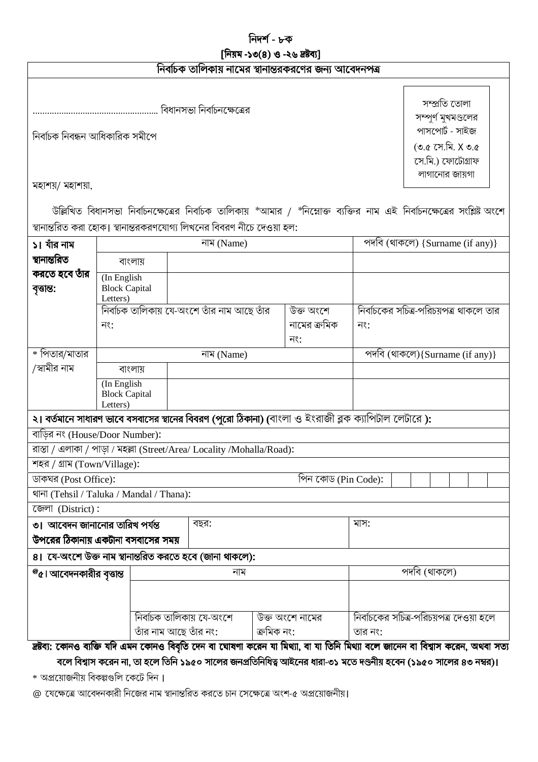### [নিয়ম -১৩(৪) ও -২৬ দ্রষ্টব্য]

|  | নির্বাচক তালিকায় নামের স্থানান্তরকরণের জন্য আবেদনপত্র |  |
|--|--------------------------------------------------------|--|
|  |                                                        |  |

নিৰ্বাচক নিবন্ধন আধিকারিক সমীপে

সম্প্ৰতি তোলা সম্পুর্ণ মুখমণ্ডলের পাসপোর্ট - সাইজ  $($ ৩.৫ সে.মি. X ৩.৫ সে.মি.) ফোটোগ্ৰাফ লাগানোর জায়গা

মহাশয়/ মহাশয়া,

উল্লিখিত বিধানসভা নির্বাচনক্ষেত্রের নির্বাচক তালিকায় \*আমার / \*নিম্নোক্ত ব্যক্তির নাম এই নির্বাচনক্ষেত্রের সংশ্লিষ্ট অংশে স্থানান্তরিত করা হোক। স্থানান্তরকরণযোগ্য লিখনের বিবরণ নীচে দেওয়া হল:

| ১। যাঁর নাম                                                                                                                                                                                                                                          | নাম (Name)                                      |                                                                        |                     |              | পদবি (থাকলে) {Surname (if any)}         |  |  |  |  |  |
|------------------------------------------------------------------------------------------------------------------------------------------------------------------------------------------------------------------------------------------------------|-------------------------------------------------|------------------------------------------------------------------------|---------------------|--------------|-----------------------------------------|--|--|--|--|--|
| স্থানান্তরিত                                                                                                                                                                                                                                         | বাংলায়                                         |                                                                        |                     |              |                                         |  |  |  |  |  |
| করতে হবে তাঁর<br>বৃত্তান্ত:                                                                                                                                                                                                                          | (In English<br><b>Block Capital</b><br>Letters) |                                                                        |                     |              |                                         |  |  |  |  |  |
|                                                                                                                                                                                                                                                      |                                                 | নির্বাচক তালিকায় যে-অংশে তাঁর নাম আছে তাঁর                            |                     | উক্ত অংশে    | নির্বাচকের সচিত্র-পরিচয়পত্র থাকলে তার  |  |  |  |  |  |
|                                                                                                                                                                                                                                                      | নং:                                             |                                                                        |                     | নামের ক্রমিক | নং:                                     |  |  |  |  |  |
|                                                                                                                                                                                                                                                      |                                                 |                                                                        |                     | নং:          |                                         |  |  |  |  |  |
| * পিতার/মাতার                                                                                                                                                                                                                                        |                                                 | নাম (Name)                                                             |                     |              | পদবি (থাকলে){Surname (if any)}          |  |  |  |  |  |
| /স্বামীর নাম                                                                                                                                                                                                                                         | বাংলায়                                         |                                                                        |                     |              |                                         |  |  |  |  |  |
|                                                                                                                                                                                                                                                      | (In English<br><b>Block Capital</b><br>Letters) |                                                                        |                     |              |                                         |  |  |  |  |  |
| ২। বর্তমানে সাধারণ ভাবে বসবাসের স্থানের বিবরণ (পুরো ঠিকানা) (বাংলা ও ইংরাজী ব্লক ক্যাপিটাল লেটারে ):                                                                                                                                                 |                                                 |                                                                        |                     |              |                                         |  |  |  |  |  |
| বাডির নং (House/Door Number):                                                                                                                                                                                                                        |                                                 |                                                                        |                     |              |                                         |  |  |  |  |  |
|                                                                                                                                                                                                                                                      |                                                 | রাস্তা / এলাকা / পাড়া / মহল্লা (Street/Area/ Locality /Mohalla/Road): |                     |              |                                         |  |  |  |  |  |
| শহর / গ্রাম (Town/Village):                                                                                                                                                                                                                          |                                                 |                                                                        |                     |              |                                         |  |  |  |  |  |
| ডাকঘর (Post Office):                                                                                                                                                                                                                                 |                                                 |                                                                        | পিন কোড (Pin Code): |              |                                         |  |  |  |  |  |
| থানা (Tehsil / Taluka / Mandal / Thana):                                                                                                                                                                                                             |                                                 |                                                                        |                     |              |                                         |  |  |  |  |  |
| জেলা (District):                                                                                                                                                                                                                                     |                                                 |                                                                        |                     |              |                                         |  |  |  |  |  |
| ৩। আবেদন জানানোর তারিখ পর্যন্ত                                                                                                                                                                                                                       |                                                 | বছর:                                                                   |                     | মাস:         |                                         |  |  |  |  |  |
|                                                                                                                                                                                                                                                      | উপরের ঠিকানায় একটানা বসবাসের সময়              |                                                                        |                     |              |                                         |  |  |  |  |  |
| 8। যে-অংশে উক্ত নাম স্থানান্তরিত করতে হবে (জানা থাকলে):                                                                                                                                                                                              |                                                 |                                                                        |                     |              |                                         |  |  |  |  |  |
| $^{\textregistered}$ । আবেদনকারীর বৃত্তান্ত                                                                                                                                                                                                          |                                                 | নাম                                                                    |                     | পদবি (থাকলে) |                                         |  |  |  |  |  |
|                                                                                                                                                                                                                                                      |                                                 |                                                                        |                     |              |                                         |  |  |  |  |  |
|                                                                                                                                                                                                                                                      |                                                 |                                                                        |                     |              |                                         |  |  |  |  |  |
|                                                                                                                                                                                                                                                      |                                                 | নির্বাচক তালিকায় যে-অংশে                                              | উক্ত অংশে নামের     |              | নির্বাচকের সচিত্র-পরিচয়পত্র দেওয়া হলে |  |  |  |  |  |
|                                                                                                                                                                                                                                                      |                                                 | তাঁর নাম আছে তাঁর নং:                                                  | ক্ৰমিক নং:          |              | তার নং:                                 |  |  |  |  |  |
| দ্রষ্টব্য: কোনও ব্যক্তি যদি এমন কোনও বিবৃতি দেন বা ঘোষণা করেন যা মিথ্যা, বা যা তিনি মিথ্যা বলে জানেন বা বিশ্বাস করেন, অথবা সত্য<br>বলে বিশ্বাস করেন না, তা হলে তিনি ১৯৫০ সালের জনপ্রতিনিধিত্ব আইনের ধারা-৩১ মতে দণ্ডনীয় হবেন (১৯৫০ সালের ৪৩ নম্বর)। |                                                 |                                                                        |                     |              |                                         |  |  |  |  |  |
|                                                                                                                                                                                                                                                      |                                                 |                                                                        |                     |              |                                         |  |  |  |  |  |

\* অপ্রয়োজনীয় বিকল্পগুলি কেটে দিন।

@ যেক্ষেত্রে আবেদনকারী নিজের নাম স্থানান্তরিত করতে চান সেক্ষেত্রে অংশ-৫ অপ্রয়োজনীয়।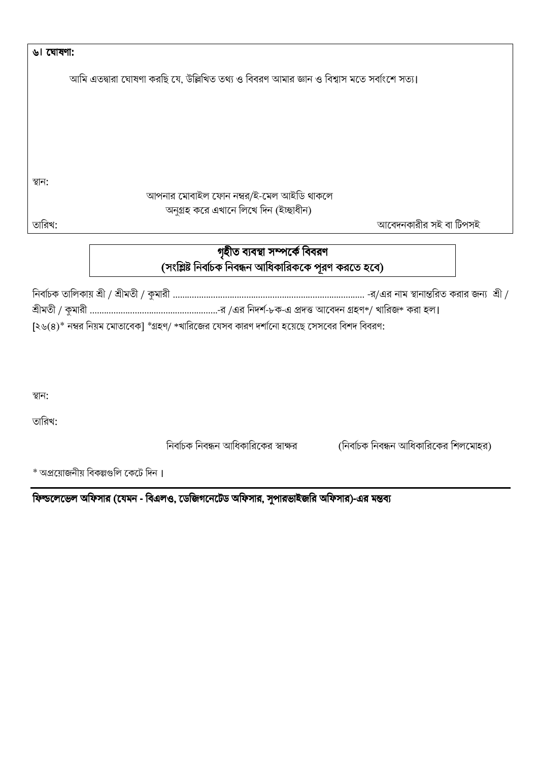| ৬। ঘোষণা:                                                                                          |
|----------------------------------------------------------------------------------------------------|
| আমি এতদ্বারা ঘোষণা করছি যে, উল্লিখিত তথ্য ও বিবরণ আমার জ্ঞান ও বিশ্বাস মতে সর্বাংশে সত্য।          |
|                                                                                                    |
|                                                                                                    |
|                                                                                                    |
|                                                                                                    |
|                                                                                                    |
| স্থান:                                                                                             |
| আপনার মোবাইল ফোন নম্বর/ই-মেল আইডি থাকলে                                                            |
| অনুগ্রহ করে এখানে লিখে দিন (ইচ্ছাধীন)<br>আবেদনকারীর সই বা টিপসই<br>তারিখ:                          |
|                                                                                                    |
| গৃহীত ব্যবস্থা সম্পৰ্কে বিবরণ                                                                      |
| (সংশ্লিষ্ট নির্বাচক নিবন্ধন আধিকারিককে পুরণ করতে হবে)                                              |
|                                                                                                    |
|                                                                                                    |
| $[5.6(8)*$ নম্বর নিয়ম মোতাবেক] $*$ গ্রহণ/ $*$ খারিজের যেসব কারণ দর্শানো হয়েছে সেসবের বিশদ বিবরণ: |
|                                                                                                    |
|                                                                                                    |
|                                                                                                    |
| স্থান:                                                                                             |
| তারিখ:                                                                                             |
| নির্বাচক নিবন্ধন আধিকারিকের স্বাক্ষর<br>(নির্বাচক নিবন্ধন আধিকারিকের শিলমোহর)                      |
|                                                                                                    |

\* অপ্রয়োজনীয় বিকল্পগুলি কেটে দিন।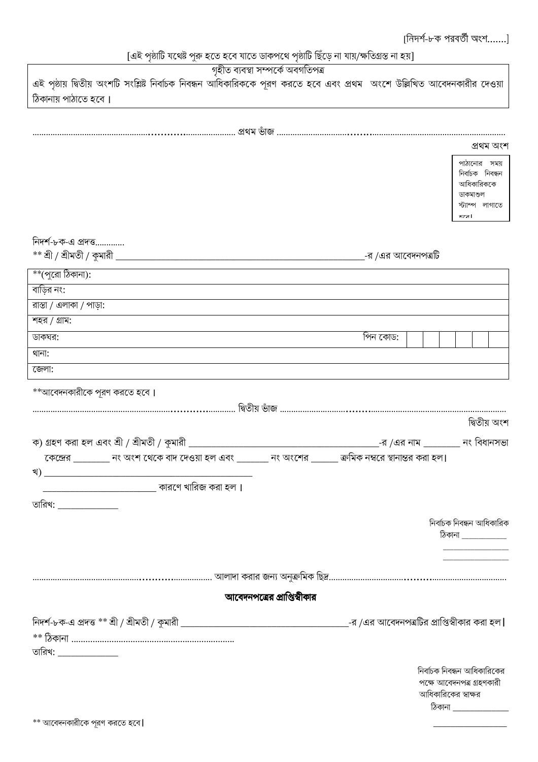# [এই পৃষ্ঠাটি যথেষ্ট পুরু হতে হবে যাতে ডাকপথে পৃষ্ঠাটি ছিঁড়ে না যায়/ক্ষতিগ্রস্ত না হয়]

| গৃহীত ব্যবস্থা সম্পৰ্কে অবগতিপত্ৰ                                                                                        |                                                          |
|--------------------------------------------------------------------------------------------------------------------------|----------------------------------------------------------|
| এই পৃষ্ঠায় দ্বিতীয় অংশটি সংশ্লিষ্ট নির্বাচক নিবন্ধন আধিকারিককে পূরণ করতে হবে এবং প্রথম অংশে উল্লিখিত আবেদনকারীর দেওয়া |                                                          |
| ঠিকানায় পাঠাতে হবে।                                                                                                     |                                                          |
|                                                                                                                          |                                                          |
|                                                                                                                          |                                                          |
|                                                                                                                          | প্ৰথম অংশ                                                |
|                                                                                                                          | পাঠানোর সময়                                             |
|                                                                                                                          | নিৰ্বাচক নিবন্ধন                                         |
|                                                                                                                          | আধিকারিককে                                               |
|                                                                                                                          | ডাকমাশুল<br>স্ট্যাম্প লাগাতে                             |
|                                                                                                                          | करत्र।                                                   |
|                                                                                                                          |                                                          |
| নিদর্শ-৮ক-এ প্রদত্ত                                                                                                      |                                                          |
|                                                                                                                          |                                                          |
| $^{**}$ (পুরো ঠিকানা):                                                                                                   |                                                          |
| বাড়ির নং:                                                                                                               |                                                          |
| রাস্তা / এলাকা / পাড়া:                                                                                                  |                                                          |
| শহর / গ্রাম:                                                                                                             |                                                          |
| ডাকঘর:                                                                                                                   | পিন কোড:                                                 |
| থানা:                                                                                                                    |                                                          |
| জেলা:                                                                                                                    |                                                          |
|                                                                                                                          |                                                          |
| **আবেদনকারীকে পুরণ করতে হবে।                                                                                             |                                                          |
|                                                                                                                          |                                                          |
|                                                                                                                          | দ্বিতীয় অংশ                                             |
|                                                                                                                          |                                                          |
| কেন্দ্রের ________ নং অংশ থেকে বাদ দেওয়া হল এবং _______ নং অংশের ______ ক্রমিক নম্বরে স্থানান্তর করা হল।                |                                                          |
| খ)                                                                                                                       |                                                          |
|                                                                                                                          |                                                          |
| তারিখ: <b>_____________</b>                                                                                              |                                                          |
|                                                                                                                          |                                                          |
|                                                                                                                          | নিৰ্বাচক নিবন্ধন আধিকারিক                                |
|                                                                                                                          | ঠিকানা ____________<br>and the control of the control of |
|                                                                                                                          |                                                          |
|                                                                                                                          |                                                          |
|                                                                                                                          |                                                          |
| আবেদনপত্রের প্রাপ্তিস্বীকার                                                                                              |                                                          |
|                                                                                                                          |                                                          |
|                                                                                                                          |                                                          |
| তারিখ: <b>______________</b>                                                                                             |                                                          |
|                                                                                                                          | নির্বাচক নিবন্ধন আধিকারিকের                              |
|                                                                                                                          | পক্ষে আবেদনপত্র গ্রহণকারী                                |
|                                                                                                                          | আধিকারিকের স্বাক্ষর                                      |
|                                                                                                                          | ঠিকানা ______________                                    |
|                                                                                                                          |                                                          |